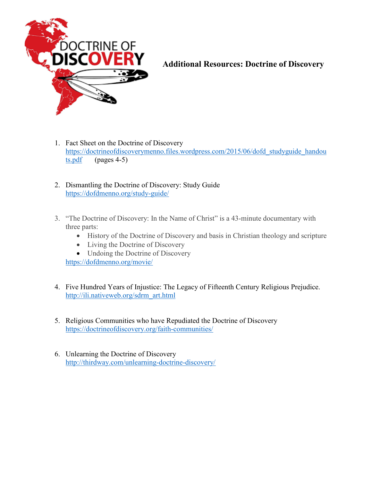

# **Additional Resources: Doctrine of Discovery**

- 1. Fact Sheet on the Doctrine of Discovery [https://doctrineofdiscoverymenno.files.wordpress.com/2015/06/dofd\\_studyguide\\_handou](https://doctrineofdiscoverymenno.files.wordpress.com/2015/06/dofd_studyguide_handouts.pdf)  $ts.pdf$  (pages 4-5)
- 2. Dismantling the Doctrine of Discovery: Study Guide <https://dofdmenno.org/study-guide/>
- 3. "The Doctrine of Discovery: In the Name of Christ" is a 43-minute documentary with three parts:
	- History of the Doctrine of Discovery and basis in Christian theology and scripture
	- Living the Doctrine of Discovery
	- Undoing the Doctrine of Discovery <https://dofdmenno.org/movie/>
- 4. Five Hundred Years of Injustice: The Legacy of Fifteenth Century Religious Prejudice. [http://ili.nativeweb.org/sdrm\\_art.html](http://ili.nativeweb.org/sdrm_art.html)
- 5. Religious Communities who have Repudiated the Doctrine of Discovery <https://doctrineofdiscovery.org/faith-communities/>
- 6. Unlearning the Doctrine of Discovery <http://thirdway.com/unlearning-doctrine-discovery/>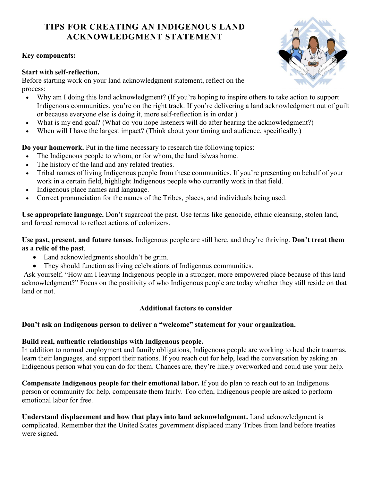## **TIPS FOR CREATING AN INDIGENOUS LAND ACKNOWLEDGMENT STATEMENT**

#### **Key components:**

#### **Start with self-reflection.**

Before starting work on your land acknowledgment statement, reflect on the process:

- Why am I doing this land acknowledgment? (If you're hoping to inspire others to take action to support Indigenous communities, you're on the right track. If you're delivering a land acknowledgment out of guilt or because everyone else is doing it, more self-reflection is in order.)
- What is my end goal? (What do you hope listeners will do after hearing the acknowledgment?)
- When will I have the largest impact? (Think about your timing and audience, specifically.)

**Do your homework.** Put in the time necessary to research the following topics:

- The Indigenous people to whom, or for whom, the land is/was home.
- The history of the land and any related treaties.
- Tribal names of living Indigenous people from these communities. If you're presenting on behalf of your work in a certain field, highlight Indigenous people who currently work in that field.
- Indigenous place names and language.
- Correct pronunciation for the names of the Tribes, places, and individuals being used.

**Use appropriate language.** Don't sugarcoat the past. Use terms like genocide, ethnic cleansing, stolen land, and forced removal to reflect actions of colonizers.

**Use past, present, and future tenses.** Indigenous people are still here, and they're thriving. **[Don't treat them](https://illuminatives.org/wp-content/uploads/2018/04/MessageGuide-Allies-screen-spreads.pdf)  [as a relic of the past](https://illuminatives.org/wp-content/uploads/2018/04/MessageGuide-Allies-screen-spreads.pdf)**.

- Land acknowledgments shouldn't be grim.
- They should function as living celebrations of Indigenous communities.

Ask yourself, "How am I leaving Indigenous people in a stronger, more empowered place because of this land acknowledgment?" Focus on the positivity of who Indigenous people are today whether they still reside on that land or not.

#### **Additional factors to consider**

#### **Don't ask an Indigenous person to deliver a "welcome" statement for your organization.**

#### **Build real, authentic relationships with Indigenous people.**

In addition to normal employment and family obligations, Indigenous people are working to heal their traumas, learn their languages, and support their nations. If you reach out for help, lead the conversation by asking an Indigenous person what you can do for them. Chances are, they're likely overworked and could use your help.

**Compensate Indigenous people for their emotional labor.** If you do plan to reach out to an Indigenous person or community for help, compensate them fairly. Too often, Indigenous people are asked to perform emotional labor for free.

**Understand displacement and how that plays into land acknowledgment.** Land acknowledgment is complicated. Remember that the United States government displaced many Tribes from land before treaties were signed.